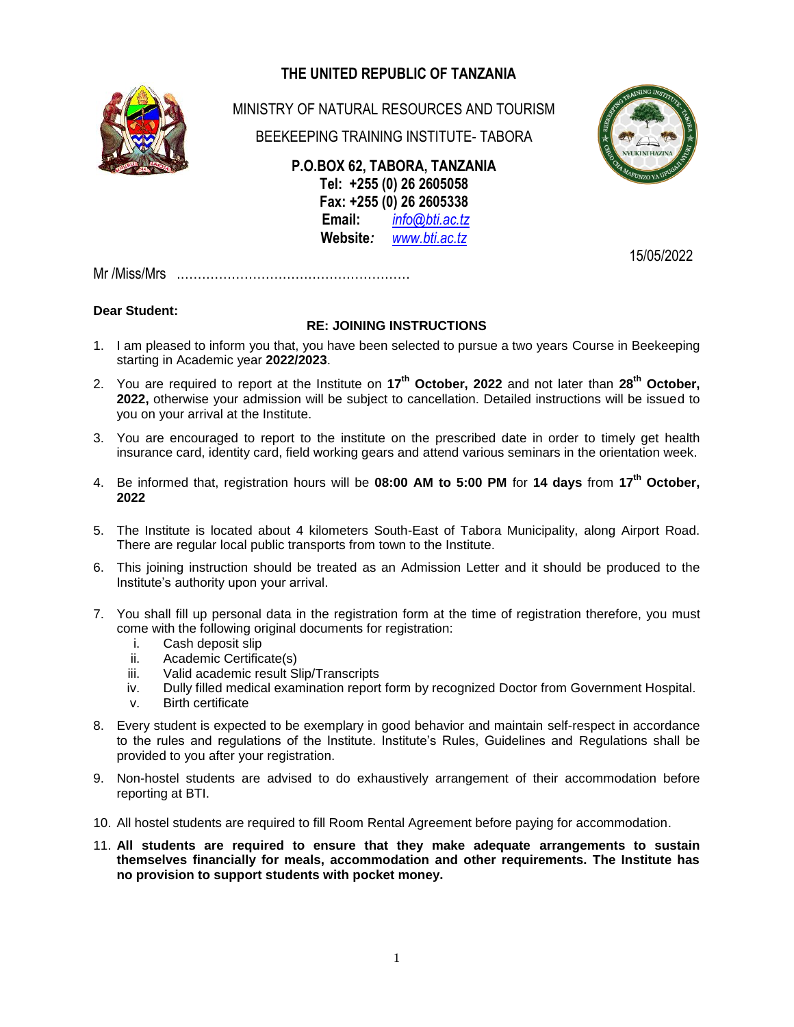# **THE UNITED REPUBLIC OF TANZANIA**



MINISTRY OF NATURAL RESOURCES AND TOURISM

BEEKEEPING TRAINING INSTITUTE- TABORA

**P.O.BOX 62, TABORA, TANZANIA Tel: +255 (0) 26 2605058 Fax: +255 (0) 26 2605338 Email:** *[info@bti.ac.tz](mailto:info@bti.ac.tz)* **Website***: [www.bti.ac.tz](http://www.bti.ac.tz/)*

15/05/2022

Mr /Miss/Mrs .………………………………………………

### **Dear Student:**

### **RE: JOINING INSTRUCTIONS**

- 1. I am pleased to inform you that, you have been selected to pursue a two years Course in Beekeeping starting in Academic year **2022/2023**.
- 2. You are required to report at the Institute on **17 th October, 2022** and not later than **28th October, 2022,** otherwise your admission will be subject to cancellation. Detailed instructions will be issued to you on your arrival at the Institute.
- 3. You are encouraged to report to the institute on the prescribed date in order to timely get health insurance card, identity card, field working gears and attend various seminars in the orientation week.
- 4. Be informed that, registration hours will be **08:00 AM to 5:00 PM** for **14 days** from **17 th October, 2022**
- 5. The Institute is located about 4 kilometers South-East of Tabora Municipality, along Airport Road. There are regular local public transports from town to the Institute.
- 6. This joining instruction should be treated as an Admission Letter and it should be produced to the Institute's authority upon your arrival.
- 7. You shall fill up personal data in the registration form at the time of registration therefore, you must come with the following original documents for registration:
	- i. Cash deposit slip
	- ii. Academic Certificate(s)
	- iii. Valid academic result Slip/Transcripts
	- iv. Dully filled medical examination report form by recognized Doctor from Government Hospital.
	- v. Birth certificate
- 8. Every student is expected to be exemplary in good behavior and maintain self-respect in accordance to the rules and regulations of the Institute. Institute's Rules, Guidelines and Regulations shall be provided to you after your registration.
- 9. Non-hostel students are advised to do exhaustively arrangement of their accommodation before reporting at BTI.
- 10. All hostel students are required to fill Room Rental Agreement before paying for accommodation.
- 11. **All students are required to ensure that they make adequate arrangements to sustain themselves financially for meals, accommodation and other requirements. The Institute has no provision to support students with pocket money.**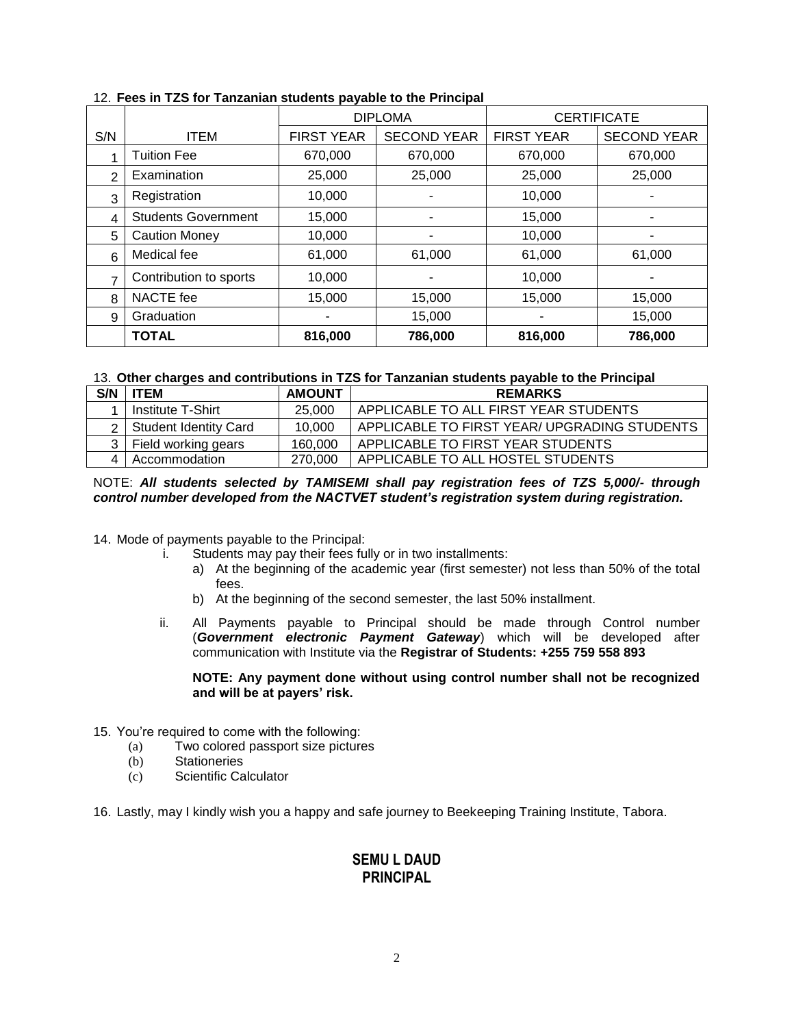|     |                            | <b>DIPLOMA</b>    |                    | <b>CERTIFICATE</b> |                    |
|-----|----------------------------|-------------------|--------------------|--------------------|--------------------|
| S/N | <b>ITEM</b>                | <b>FIRST YEAR</b> | <b>SECOND YEAR</b> | <b>FIRST YEAR</b>  | <b>SECOND YEAR</b> |
|     | <b>Tuition Fee</b>         | 670,000           | 670,000            | 670,000            | 670,000            |
| 2   | Examination                | 25,000            | 25,000             | 25,000             | 25,000             |
| 3   | Registration               | 10,000            |                    | 10,000             |                    |
| 4   | <b>Students Government</b> | 15,000            |                    | 15,000             |                    |
| 5   | <b>Caution Money</b>       | 10,000            |                    | 10,000             |                    |
| 6   | Medical fee                | 61,000            | 61,000             | 61,000             | 61,000             |
| ⇁   | Contribution to sports     | 10,000            | ۰                  | 10,000             |                    |
| 8   | NACTE fee                  | 15,000            | 15,000             | 15,000             | 15,000             |
| 9   | Graduation                 |                   | 15,000             |                    | 15,000             |
|     | <b>TOTAL</b>               | 816,000           | 786,000            | 816,000            | 786,000            |

#### 12. **Fees in TZS for Tanzanian students payable to the Principal**

#### 13. **Other charges and contributions in TZS for Tanzanian students payable to the Principal**

| S/N            | <b>TEM</b>                | <b>AMOUNT</b> | <b>REMARKS</b>                               |
|----------------|---------------------------|---------------|----------------------------------------------|
|                | Institute T-Shirt         | 25,000        | APPLICABLE TO ALL FIRST YEAR STUDENTS        |
|                | 2   Student Identity Card | 10.000        | APPLICABLE TO FIRST YEAR/ UPGRADING STUDENTS |
|                | 3   Field working gears   | 160,000       | APPLICABLE TO FIRST YEAR STUDENTS            |
| $\overline{A}$ | Accommodation             | 270,000       | APPLICABLE TO ALL HOSTEL STUDENTS            |

#### NOTE: *All students selected by TAMISEMI shall pay registration fees of TZS 5,000/- through control number developed from the NACTVET student's registration system during registration.*

- 14. Mode of payments payable to the Principal:
	- i. Students may pay their fees fully or in two installments:
		- a) At the beginning of the academic year (first semester) not less than 50% of the total fees.
			- b) At the beginning of the second semester, the last 50% installment.
	- ii. All Payments payable to Principal should be made through Control number (*Government electronic Payment Gateway*) which will be developed after communication with Institute via the **Registrar of Students: +255 759 558 893**

#### **NOTE: Any payment done without using control number shall not be recognized and will be at payers' risk.**

- 15. You're required to come with the following:
	- (a) Two colored passport size pictures
	- (b) Stationeries
	- (c) Scientific Calculator

16. Lastly, may I kindly wish you a happy and safe journey to Beekeeping Training Institute, Tabora.

## **SEMU L DAUD PRINCIPAL**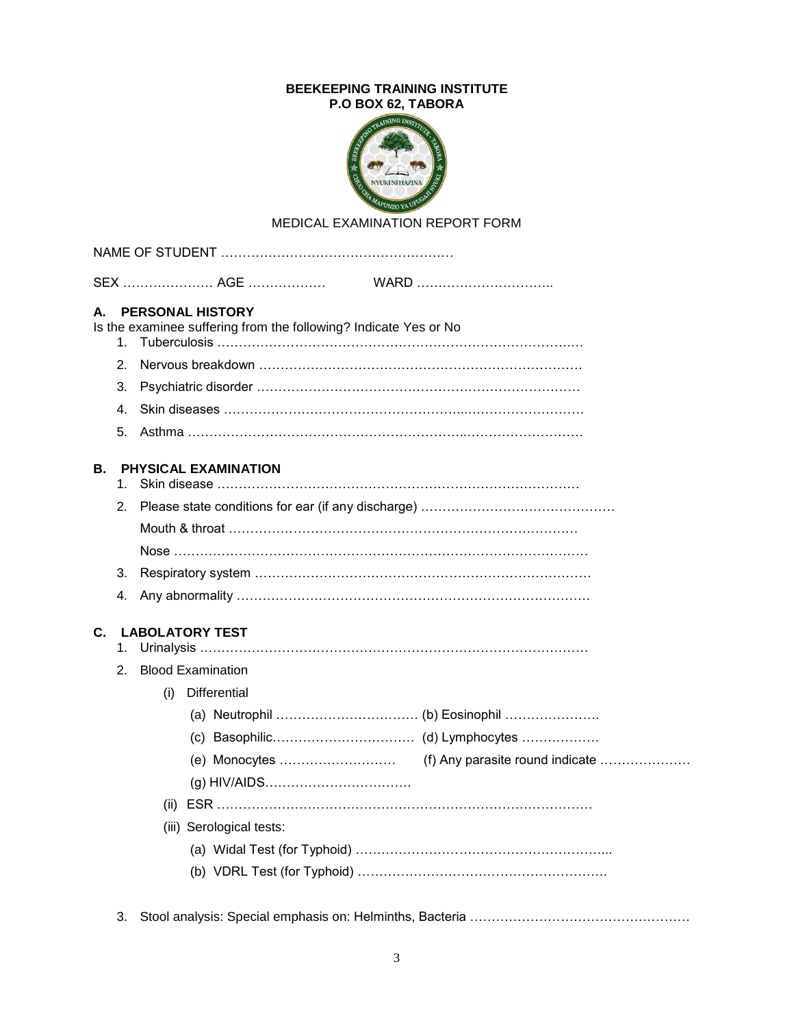### **BEEKEEPING TRAINING INSTITUTE P.O BOX 62, TABORA**



## MEDICAL EXAMINATION REPORT FORM

| А. | 1.                             |     | <b>PERSONAL HISTORY</b>     | Is the examinee suffering from the following? Indicate Yes or No |  |
|----|--------------------------------|-----|-----------------------------|------------------------------------------------------------------|--|
|    | 2.                             |     |                             |                                                                  |  |
|    | З.                             |     |                             |                                                                  |  |
|    | 4.                             |     |                             |                                                                  |  |
|    | 5.                             |     |                             |                                                                  |  |
| В. | 1.                             |     | <b>PHYSICAL EXAMINATION</b> |                                                                  |  |
|    | 2.                             |     |                             |                                                                  |  |
|    |                                |     |                             |                                                                  |  |
|    |                                |     |                             |                                                                  |  |
|    | 3.                             |     |                             |                                                                  |  |
|    | 4.                             |     |                             |                                                                  |  |
| C. | 1.                             |     | <b>LABOLATORY TEST</b>      |                                                                  |  |
|    | <b>Blood Examination</b><br>2. |     |                             |                                                                  |  |
|    |                                | (i) | Differential                |                                                                  |  |
|    |                                |     |                             |                                                                  |  |
|    |                                |     |                             |                                                                  |  |
|    |                                |     |                             |                                                                  |  |
|    |                                |     |                             |                                                                  |  |
|    |                                |     |                             |                                                                  |  |
|    |                                |     | (iii) Serological tests:    |                                                                  |  |
|    |                                |     |                             |                                                                  |  |
|    |                                |     |                             |                                                                  |  |
|    | 3.                             |     |                             |                                                                  |  |